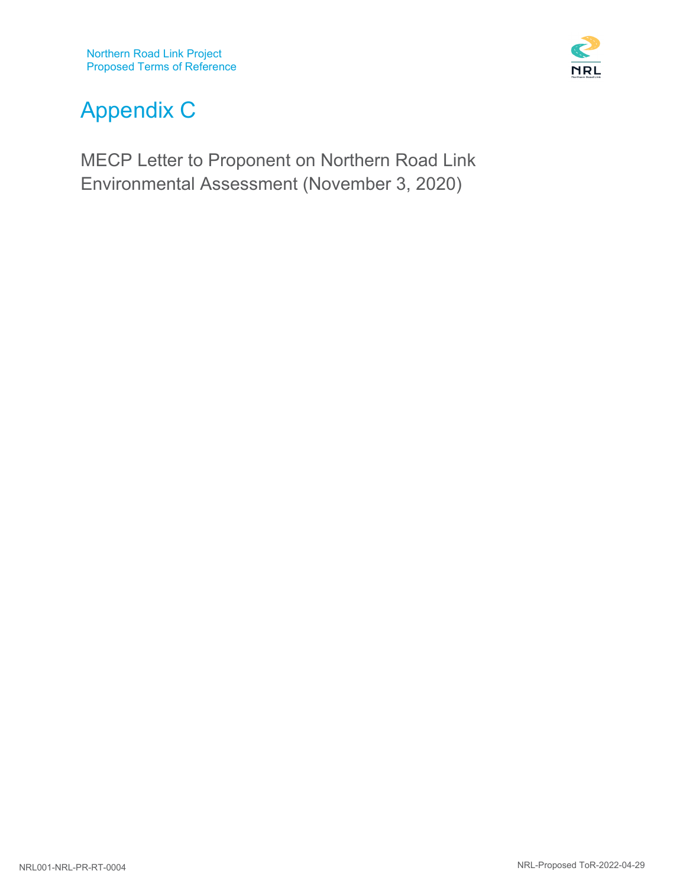

# Appendix C

MECP Letter to Proponent on Northern Road Link Environmental Assessment (November 3, 2020)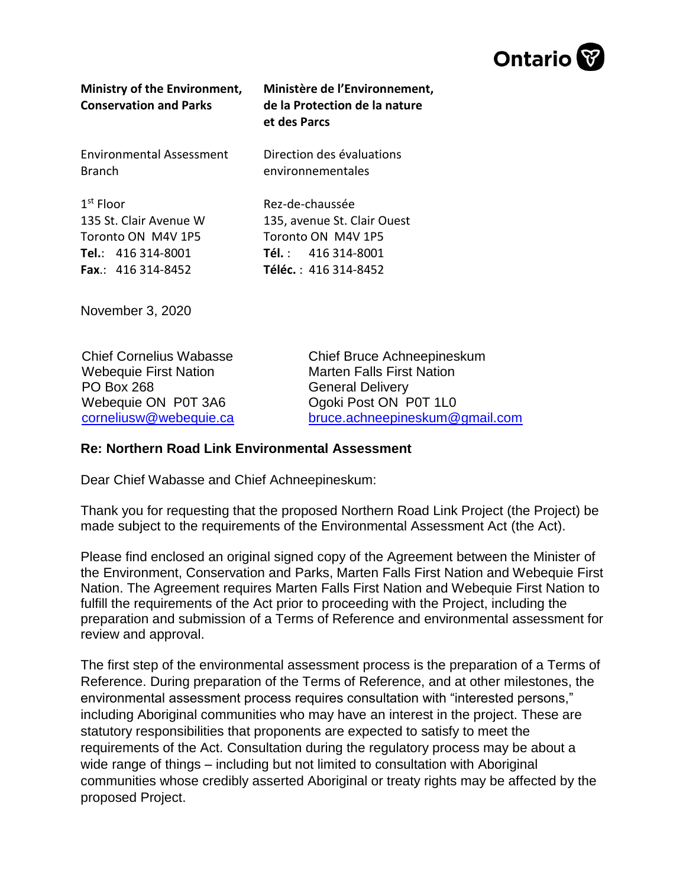

| Ministry of the Environment,<br><b>Conservation and Parks</b> | Ministère de l'Environnement,<br>de la Protection de la nature<br>et des Parcs |
|---------------------------------------------------------------|--------------------------------------------------------------------------------|
| Environmental Assessment                                      | Direction des évaluations                                                      |
| <b>Branch</b>                                                 | environnementales                                                              |
| $1st$ Floor                                                   | Rez-de-chaussée                                                                |
| 135 St. Clair Avenue W                                        | 135, avenue St. Clair Ouest                                                    |
| Toronto ON M4V 1P5                                            | Toronto ON M4V 1P5                                                             |
| Tel.: 416 314-8001                                            | <b>Tél.:</b> $416.314 - 8001$                                                  |
| <b>Fax</b> : 416 314-8452                                     | <b>Téléc.</b> : 416 314-8452                                                   |

November 3, 2020

Chief Cornelius Wabasse Webequie First Nation PO Box 268 Webequie ON P0T 3A6 [corneliusw@webequie.ca](mailto:corneliusw@webequie.ca) Chief Bruce Achneepineskum Marten Falls First Nation General Delivery Ogoki Post ON P0T 1L0 [bruce.achneepineskum@gmail.com](mailto:bruce.achneepineskum@gmail.com)

## **Re: Northern Road Link Environmental Assessment**

Dear Chief Wabasse and Chief Achneepineskum:

Thank you for requesting that the proposed Northern Road Link Project (the Project) be made subject to the requirements of the Environmental Assessment Act (the Act).

Please find enclosed an original signed copy of the Agreement between the Minister of the Environment, Conservation and Parks, Marten Falls First Nation and Webequie First Nation. The Agreement requires Marten Falls First Nation and Webequie First Nation to fulfill the requirements of the Act prior to proceeding with the Project, including the preparation and submission of a Terms of Reference and environmental assessment for review and approval.

The first step of the environmental assessment process is the preparation of a Terms of Reference. During preparation of the Terms of Reference, and at other milestones, the environmental assessment process requires consultation with "interested persons," including Aboriginal communities who may have an interest in the project. These are statutory responsibilities that proponents are expected to satisfy to meet the requirements of the Act. Consultation during the regulatory process may be about a wide range of things – including but not limited to consultation with Aboriginal communities whose credibly asserted Aboriginal or treaty rights may be affected by the proposed Project.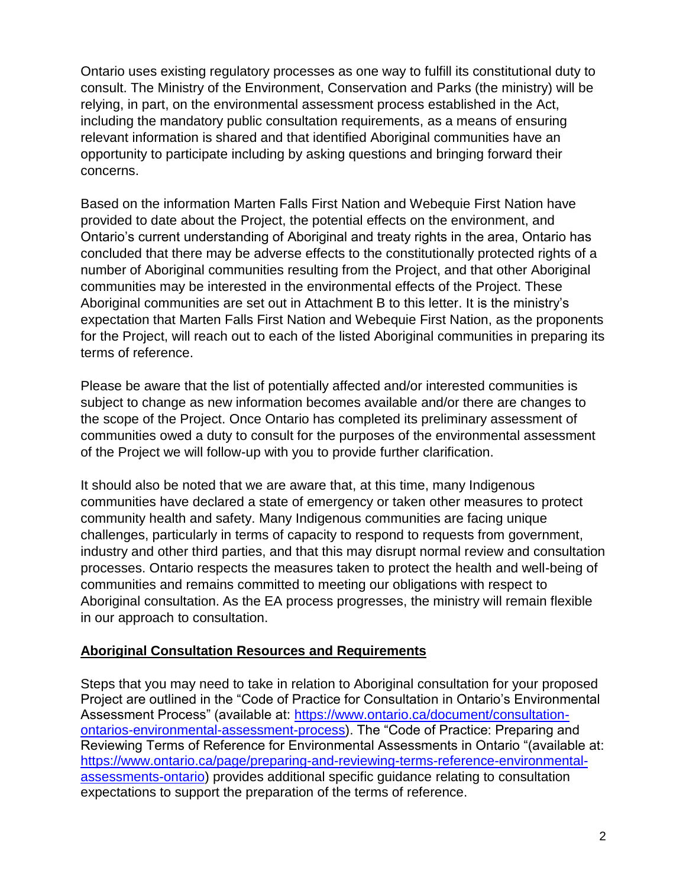Ontario uses existing regulatory processes as one way to fulfill its constitutional duty to consult. The Ministry of the Environment, Conservation and Parks (the ministry) will be relying, in part, on the environmental assessment process established in the Act, including the mandatory public consultation requirements, as a means of ensuring relevant information is shared and that identified Aboriginal communities have an opportunity to participate including by asking questions and bringing forward their concerns.

Based on the information Marten Falls First Nation and Webequie First Nation have provided to date about the Project, the potential effects on the environment, and Ontario's current understanding of Aboriginal and treaty rights in the area, Ontario has concluded that there may be adverse effects to the constitutionally protected rights of a number of Aboriginal communities resulting from the Project, and that other Aboriginal communities may be interested in the environmental effects of the Project. These Aboriginal communities are set out in Attachment B to this letter. It is the ministry's expectation that Marten Falls First Nation and Webequie First Nation, as the proponents for the Project, will reach out to each of the listed Aboriginal communities in preparing its terms of reference.

Please be aware that the list of potentially affected and/or interested communities is subject to change as new information becomes available and/or there are changes to the scope of the Project. Once Ontario has completed its preliminary assessment of communities owed a duty to consult for the purposes of the environmental assessment of the Project we will follow-up with you to provide further clarification.

It should also be noted that we are aware that, at this time, many Indigenous communities have declared a state of emergency or taken other measures to protect community health and safety. Many Indigenous communities are facing unique challenges, particularly in terms of capacity to respond to requests from government, industry and other third parties, and that this may disrupt normal review and consultation processes. Ontario respects the measures taken to protect the health and well-being of communities and remains committed to meeting our obligations with respect to Aboriginal consultation. As the EA process progresses, the ministry will remain flexible in our approach to consultation.

## **Aboriginal Consultation Resources and Requirements**

Steps that you may need to take in relation to Aboriginal consultation for your proposed Project are outlined in the "Code of Practice for Consultation in Ontario's Environmental Assessment Process" (available at: [https://www.ontario.ca/document/consultation](https://www.ontario.ca/document/consultation-ontarios-environmental-assessment-process)[ontarios-environmental-assessment-process\)](https://www.ontario.ca/document/consultation-ontarios-environmental-assessment-process). The "Code of Practice: Preparing and Reviewing Terms of Reference for Environmental Assessments in Ontario "(available at: [https://www.ontario.ca/page/preparing-and-reviewing-terms-reference-environmental](https://www.ontario.ca/page/preparing-and-reviewing-terms-reference-environmental-assessments-ontario)[assessments-ontario\)](https://www.ontario.ca/page/preparing-and-reviewing-terms-reference-environmental-assessments-ontario) provides additional specific guidance relating to consultation expectations to support the preparation of the terms of reference.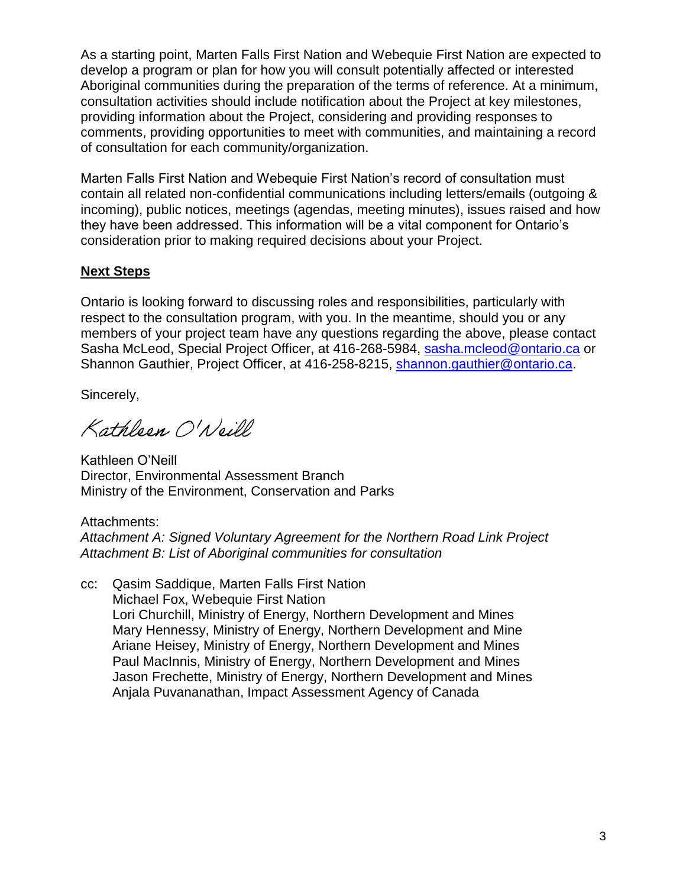As a starting point, Marten Falls First Nation and Webequie First Nation are expected to develop a program or plan for how you will consult potentially affected or interested Aboriginal communities during the preparation of the terms of reference. At a minimum, consultation activities should include notification about the Project at key milestones, providing information about the Project, considering and providing responses to comments, providing opportunities to meet with communities, and maintaining a record of consultation for each community/organization.

Marten Falls First Nation and Webequie First Nation's record of consultation must contain all related non-confidential communications including letters/emails (outgoing & incoming), public notices, meetings (agendas, meeting minutes), issues raised and how they have been addressed. This information will be a vital component for Ontario's consideration prior to making required decisions about your Project.

## **Next Steps**

Ontario is looking forward to discussing roles and responsibilities, particularly with respect to the consultation program, with you. In the meantime, should you or any members of your project team have any questions regarding the above, please contact Sasha McLeod, Special Project Officer, at 416-268-5984, [sasha.mcleod@ontario.ca](mailto:sasha.mcleod@ontario.ca) or Shannon Gauthier, Project Officer, at 416-258-8215, [shannon.gauthier@ontario.ca.](mailto:shannon.gauthier@ontario.ca)

Sincerely,

Kathleen O'Neill

Kathleen O'Neill Director, Environmental Assessment Branch Ministry of the Environment, Conservation and Parks

Attachments: *Attachment A: Signed Voluntary Agreement for the Northern Road Link Project Attachment B: List of Aboriginal communities for consultation*

cc: Qasim Saddique, Marten Falls First Nation Michael Fox, Webequie First Nation Lori Churchill, Ministry of Energy, Northern Development and Mines Mary Hennessy, Ministry of Energy, Northern Development and Mine Ariane Heisey, Ministry of Energy, Northern Development and Mines Paul MacInnis, Ministry of Energy, Northern Development and Mines Jason Frechette, Ministry of Energy, Northern Development and Mines Anjala Puvananathan, Impact Assessment Agency of Canada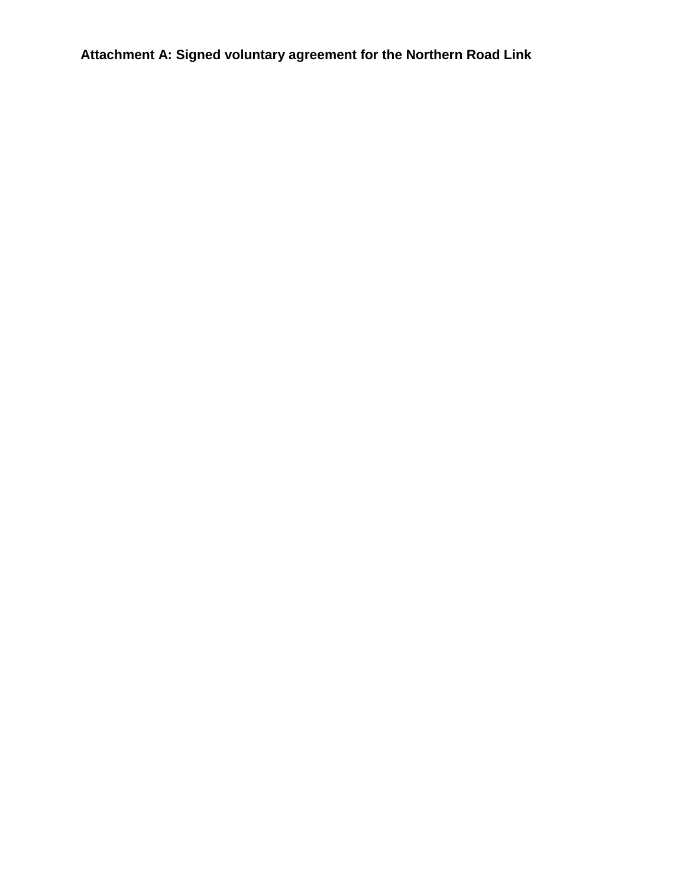**Attachment A: Signed voluntary agreement for the Northern Road Link**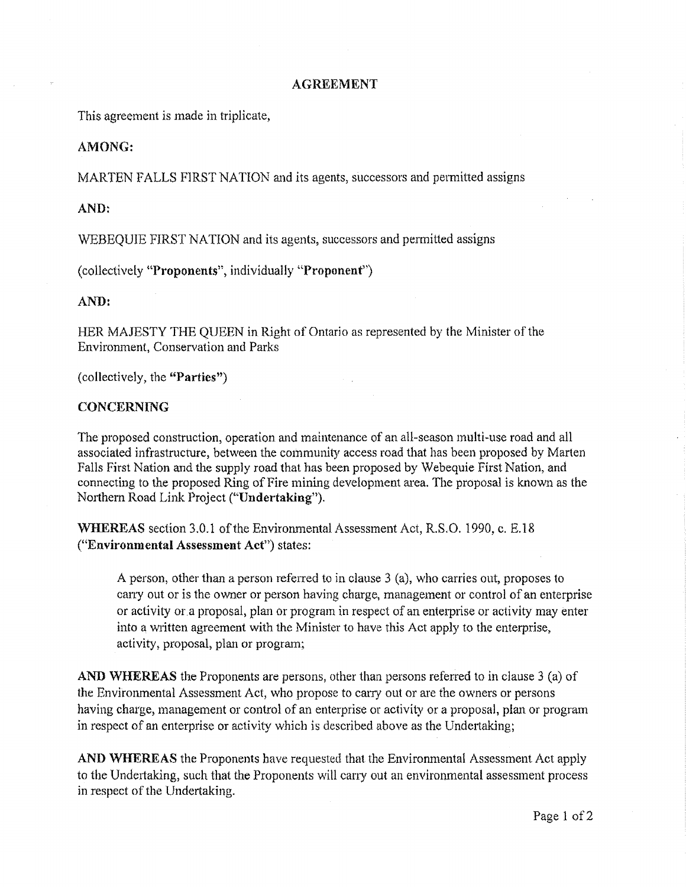#### **AGREEMENT**

This agreement is made in triplicate,

#### **AMONG:**

MARTEN FALLS FIRST NATION and its agents, successors and permitted assigns

#### AND:

WEBEQUIE FIRST NATION and its agents, successors and permitted assigns

(collectively "Proponents", individually "Proponent")

AND:

HER MAJESTY THE QUEEN in Right of Ontario as represented by the Minister of the **Environment. Conservation and Parks** 

(collectively, the "Parties")

### **CONCERNING**

The proposed construction, operation and maintenance of an all-season multi-use road and all associated infrastructure, between the community access road that has been proposed by Marten Falls First Nation and the supply road that has been proposed by Webequie First Nation, and connecting to the proposed Ring of Fire mining development area. The proposal is known as the Northern Road Link Project ("Undertaking").

WHEREAS section 3.0.1 of the Environmental Assessment Act, R.S.O. 1990, c. E.18 ("Environmental Assessment Act") states:

A person, other than a person referred to in clause 3 (a), who carries out, proposes to carry out or is the owner or person having charge, management or control of an enterprise or activity or a proposal, plan or program in respect of an enterprise or activity may enter into a written agreement with the Minister to have this Act apply to the enterprise, activity, proposal, plan or program;

AND WHEREAS the Proponents are persons, other than persons referred to in clause 3 (a) of the Environmental Assessment Act, who propose to carry out or are the owners or persons having charge, management or control of an enterprise or activity or a proposal, plan or program in respect of an enterprise or activity which is described above as the Undertaking;

AND WHEREAS the Proponents have requested that the Environmental Assessment Act apply to the Undertaking, such that the Proponents will carry out an environmental assessment process in respect of the Undertaking.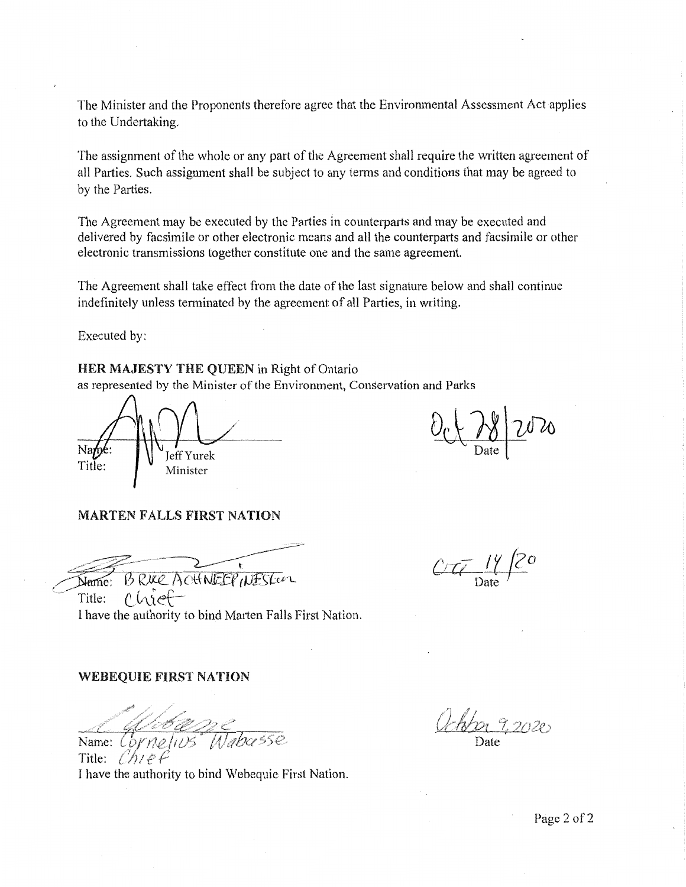The Minister and the Proponents therefore agree that the Environmental Assessment Act applies to the Undertaking.

The assignment of the whole or any part of the Agreement shall require the written agreement of all Parties. Such assignment shall be subject to any terms and conditions that may be agreed to by the Parties.

The Agreement may be executed by the Parties in counterparts and may be executed and delivered by facsimile or other electronic means and all the counterparts and facsimile or other electronic transmissions together constitute one and the same agreement.

The Agreement shall take effect from the date of the last signature below and shall continue indefinitely unless terminated by the agreement of all Parties, in writing.

Executed by:

#### HER MAJESTY THE QUEEN in Right of Ontario

as represented by the Minister of the Environment, Conservation and Parks

Jeff Yurek Title Minister

#### **MARTEN FALLS FIRST NATION**

BRUCE ACHNEEP WESTER Name:

 $CT_{14}$  14/20

chief Title: I have the authority to bind Marten Falls First Nation.

#### **WEBEQUIE FIRST NATION**

<u>Calebasse</u><br>Name: Cornelius Wabasse

Title: I have the authority to bind Webequie First Nation.

John 9,2020